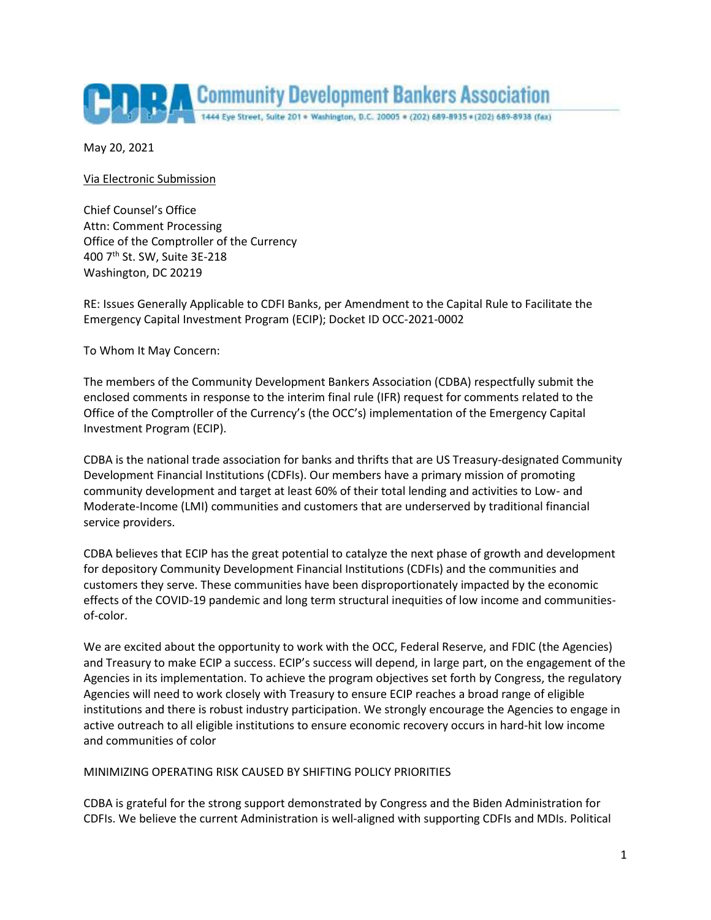

May 20, 2021

Via Electronic Submission

Chief Counsel's Office Attn: Comment Processing Office of the Comptroller of the Currency 400 7th St. SW, Suite 3E-218 Washington, DC 20219

RE: Issues Generally Applicable to CDFI Banks, per Amendment to the Capital Rule to Facilitate the Emergency Capital Investment Program (ECIP); Docket ID OCC-2021-0002

To Whom It May Concern:

The members of the Community Development Bankers Association (CDBA) respectfully submit the enclosed comments in response to the interim final rule (IFR) request for comments related to the Office of the Comptroller of the Currency's (the OCC's) implementation of the Emergency Capital Investment Program (ECIP).

CDBA is the national trade association for banks and thrifts that are US Treasury-designated Community Development Financial Institutions (CDFIs). Our members have a primary mission of promoting community development and target at least 60% of their total lending and activities to Low- and Moderate-Income (LMI) communities and customers that are underserved by traditional financial service providers.

CDBA believes that ECIP has the great potential to catalyze the next phase of growth and development for depository Community Development Financial Institutions (CDFIs) and the communities and customers they serve. These communities have been disproportionately impacted by the economic effects of the COVID-19 pandemic and long term structural inequities of low income and communitiesof-color.

We are excited about the opportunity to work with the OCC, Federal Reserve, and FDIC (the Agencies) and Treasury to make ECIP a success. ECIP's success will depend, in large part, on the engagement of the Agencies in its implementation. To achieve the program objectives set forth by Congress, the regulatory Agencies will need to work closely with Treasury to ensure ECIP reaches a broad range of eligible institutions and there is robust industry participation. We strongly encourage the Agencies to engage in active outreach to all eligible institutions to ensure economic recovery occurs in hard-hit low income and communities of color

### MINIMIZING OPERATING RISK CAUSED BY SHIFTING POLICY PRIORITIES

CDBA is grateful for the strong support demonstrated by Congress and the Biden Administration for CDFIs. We believe the current Administration is well-aligned with supporting CDFIs and MDIs. Political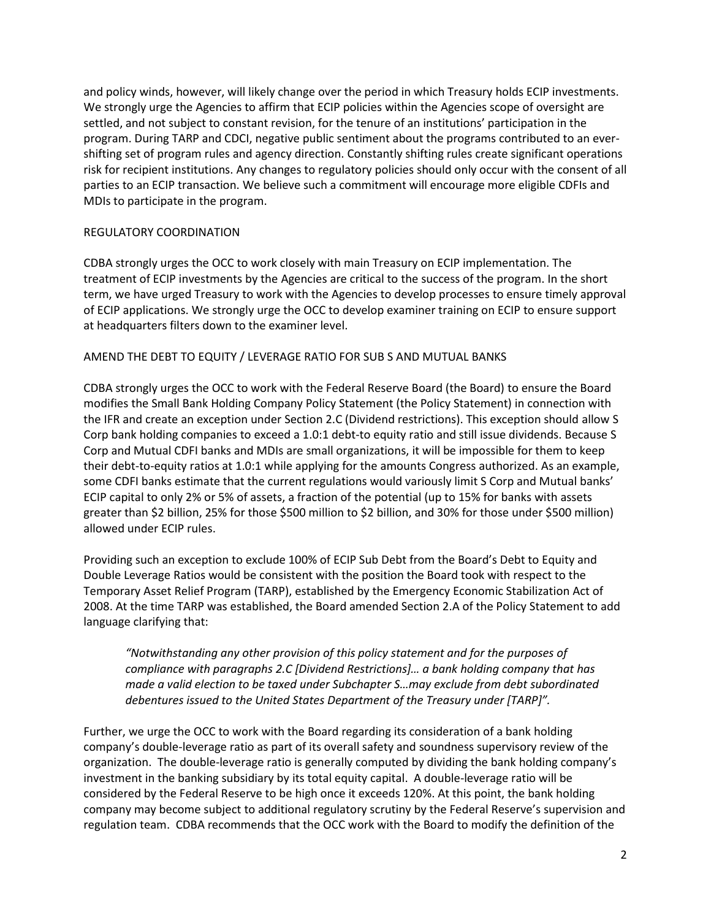and policy winds, however, will likely change over the period in which Treasury holds ECIP investments. We strongly urge the Agencies to affirm that ECIP policies within the Agencies scope of oversight are settled, and not subject to constant revision, for the tenure of an institutions' participation in the program. During TARP and CDCI, negative public sentiment about the programs contributed to an evershifting set of program rules and agency direction. Constantly shifting rules create significant operations risk for recipient institutions. Any changes to regulatory policies should only occur with the consent of all parties to an ECIP transaction. We believe such a commitment will encourage more eligible CDFIs and MDIs to participate in the program.

### REGULATORY COORDINATION

CDBA strongly urges the OCC to work closely with main Treasury on ECIP implementation. The treatment of ECIP investments by the Agencies are critical to the success of the program. In the short term, we have urged Treasury to work with the Agencies to develop processes to ensure timely approval of ECIP applications. We strongly urge the OCC to develop examiner training on ECIP to ensure support at headquarters filters down to the examiner level.

# AMEND THE DEBT TO EQUITY / LEVERAGE RATIO FOR SUB S AND MUTUAL BANKS

CDBA strongly urges the OCC to work with the Federal Reserve Board (the Board) to ensure the Board modifies the Small Bank Holding Company Policy Statement (the Policy Statement) in connection with the IFR and create an exception under Section 2.C (Dividend restrictions). This exception should allow S Corp bank holding companies to exceed a 1.0:1 debt-to equity ratio and still issue dividends. Because S Corp and Mutual CDFI banks and MDIs are small organizations, it will be impossible for them to keep their debt-to-equity ratios at 1.0:1 while applying for the amounts Congress authorized. As an example, some CDFI banks estimate that the current regulations would variously limit S Corp and Mutual banks' ECIP capital to only 2% or 5% of assets, a fraction of the potential (up to 15% for banks with assets greater than \$2 billion, 25% for those \$500 million to \$2 billion, and 30% for those under \$500 million) allowed under ECIP rules.

Providing such an exception to exclude 100% of ECIP Sub Debt from the Board's Debt to Equity and Double Leverage Ratios would be consistent with the position the Board took with respect to the Temporary Asset Relief Program (TARP), established by the Emergency Economic Stabilization Act of 2008. At the time TARP was established, the Board amended Section 2.A of the Policy Statement to add language clarifying that:

*"Notwithstanding any other provision of this policy statement and for the purposes of compliance with paragraphs 2.C [Dividend Restrictions]… a bank holding company that has made a valid election to be taxed under Subchapter S…may exclude from debt subordinated debentures issued to the United States Department of the Treasury under [TARP]".* 

Further, we urge the OCC to work with the Board regarding its consideration of a bank holding company's double-leverage ratio as part of its overall safety and soundness supervisory review of the organization. The double-leverage ratio is generally computed by dividing the bank holding company's investment in the banking subsidiary by its total equity capital. A double-leverage ratio will be considered by the Federal Reserve to be high once it exceeds 120%. At this point, the bank holding company may become subject to additional regulatory scrutiny by the Federal Reserve's supervision and regulation team. CDBA recommends that the OCC work with the Board to modify the definition of the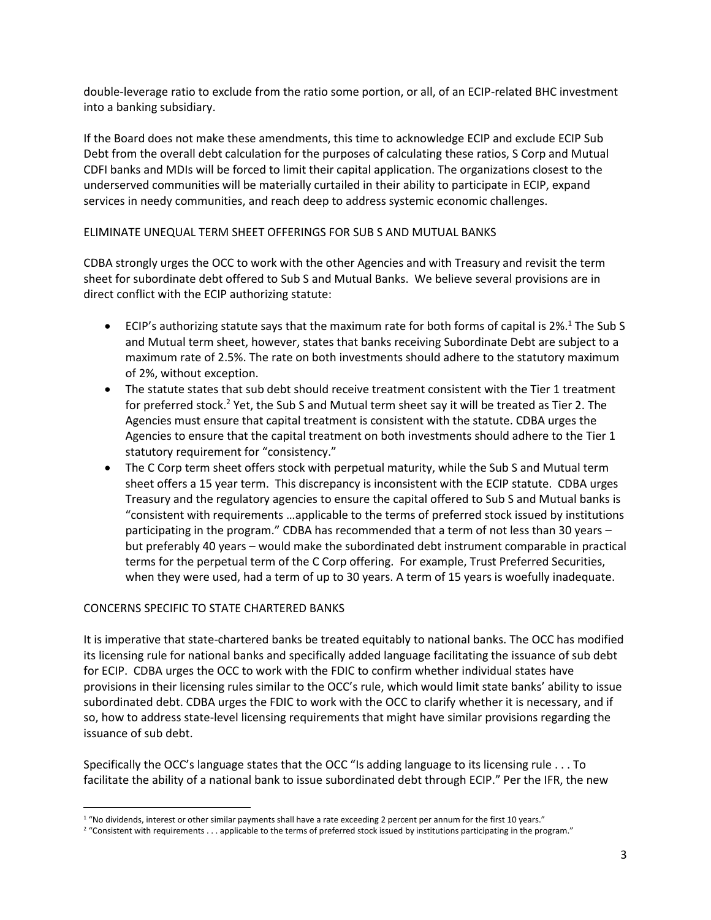double-leverage ratio to exclude from the ratio some portion, or all, of an ECIP-related BHC investment into a banking subsidiary.

If the Board does not make these amendments, this time to acknowledge ECIP and exclude ECIP Sub Debt from the overall debt calculation for the purposes of calculating these ratios, S Corp and Mutual CDFI banks and MDIs will be forced to limit their capital application. The organizations closest to the underserved communities will be materially curtailed in their ability to participate in ECIP, expand services in needy communities, and reach deep to address systemic economic challenges.

# ELIMINATE UNEQUAL TERM SHEET OFFERINGS FOR SUB S AND MUTUAL BANKS

CDBA strongly urges the OCC to work with the other Agencies and with Treasury and revisit the term sheet for subordinate debt offered to Sub S and Mutual Banks. We believe several provisions are in direct conflict with the ECIP authorizing statute:

- **ECIP's authorizing statute says that the maximum rate for both forms of capital is 2%.**<sup>1</sup> The Sub S and Mutual term sheet, however, states that banks receiving Subordinate Debt are subject to a maximum rate of 2.5%. The rate on both investments should adhere to the statutory maximum of 2%, without exception.
- The statute states that sub debt should receive treatment consistent with the Tier 1 treatment for preferred stock.<sup>2</sup> Yet, the Sub S and Mutual term sheet say it will be treated as Tier 2. The Agencies must ensure that capital treatment is consistent with the statute. CDBA urges the Agencies to ensure that the capital treatment on both investments should adhere to the Tier 1 statutory requirement for "consistency."
- The C Corp term sheet offers stock with perpetual maturity, while the Sub S and Mutual term sheet offers a 15 year term. This discrepancy is inconsistent with the ECIP statute. CDBA urges Treasury and the regulatory agencies to ensure the capital offered to Sub S and Mutual banks is "consistent with requirements …applicable to the terms of preferred stock issued by institutions participating in the program." CDBA has recommended that a term of not less than 30 years – but preferably 40 years – would make the subordinated debt instrument comparable in practical terms for the perpetual term of the C Corp offering. For example, Trust Preferred Securities, when they were used, had a term of up to 30 years. A term of 15 years is woefully inadequate.

# CONCERNS SPECIFIC TO STATE CHARTERED BANKS

 $\overline{\phantom{a}}$ 

It is imperative that state-chartered banks be treated equitably to national banks. The OCC has modified its licensing rule for national banks and specifically added language facilitating the issuance of sub debt for ECIP. CDBA urges the OCC to work with the FDIC to confirm whether individual states have provisions in their licensing rules similar to the OCC's rule, which would limit state banks' ability to issue subordinated debt. CDBA urges the FDIC to work with the OCC to clarify whether it is necessary, and if so, how to address state-level licensing requirements that might have similar provisions regarding the issuance of sub debt.

Specifically the OCC's language states that the OCC "Is adding language to its licensing rule . . . To facilitate the ability of a national bank to issue subordinated debt through ECIP." Per the IFR, the new

<sup>&</sup>lt;sup>1</sup> "No dividends, interest or other similar payments shall have a rate exceeding 2 percent per annum for the first 10 years."

<sup>&</sup>lt;sup>2</sup> "Consistent with requirements . . . applicable to the terms of preferred stock issued by institutions participating in the program."